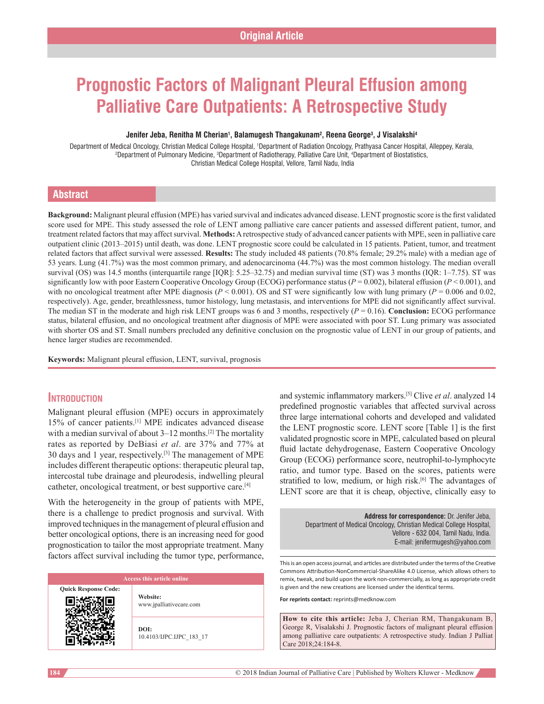# **Prognostic Factors of Malignant Pleural Effusion among Palliative Care Outpatients: A Retrospective Study**

#### **Jenifer Jeba, Renitha M Cherian1 , Balamugesh Thangakunam2 , Reena George3 , J Visalakshi4**

Department of Medical Oncology, Christian Medical College Hospital, <sup>1</sup>Department of Radiation Oncology, Prathyasa Cancer Hospital, Alleppey, Kerala,<br><sup>2</sup>Department of Pulmonary Medicine <sup>3</sup>Department of Radiotherany, Palli Department of Pulmonary Medicine, 3 Department of Radiotherapy, Palliative Care Unit, 4 Department of Biostatistics, Christian Medical College Hospital, Vellore, Tamil Nadu, India

#### **Abstract**

**Background:** Malignant pleural effusion (MPE) has varied survival and indicates advanced disease. LENT prognostic score is the first validated score used for MPE. This study assessed the role of LENT among palliative care cancer patients and assessed different patient, tumor, and treatment related factors that may affect survival. **Methods:** Aretrospective study of advanced cancer patients with MPE, seen in palliative care outpatient clinic (2013–2015) until death, was done. LENT prognostic score could be calculated in 15 patients. Patient, tumor, and treatment related factors that affect survival were assessed. **Results:** The study included 48 patients (70.8% female; 29.2% male) with a median age of 53 years. Lung (41.7%) was the most common primary, and adenocarcinoma (44.7%) was the most common histology. The median overall survival (OS) was 14.5 months (interquartile range [IQR]: 5.25–32.75) and median survival time (ST) was 3 months (IQR: 1–7.75). ST was significantly low with poor Eastern Cooperative Oncology Group (ECOG) performance status ( $P = 0.002$ ), bilateral effusion ( $P < 0.001$ ), and with no oncological treatment after MPE diagnosis ( $P < 0.001$ ). OS and ST were significantly low with lung primary ( $P = 0.006$  and 0.02, respectively). Age, gender, breathlessness, tumor histology, lung metastasis, and interventions for MPE did not significantly affect survival. The median ST in the moderate and high risk LENT groups was 6 and 3 months, respectively (*P* = 0.16). **Conclusion:** ECOG performance status, bilateral effusion, and no oncological treatment after diagnosis of MPE were associated with poor ST. Lung primary was associated with shorter OS and ST. Small numbers precluded any definitive conclusion on the prognostic value of LENT in our group of patients, and hence larger studies are recommended.

**Keywords:** Malignant pleural effusion, LENT, survival, prognosis

# **Introduction**

Malignant pleural effusion (MPE) occurs in approximately 15% of cancer patients.[1] MPE indicates advanced disease with a median survival of about  $3-12$  months.<sup>[2]</sup> The mortality rates as reported by DeBiasi *et al*. are 37% and 77% at 30 days and 1 year, respectively.[3] The management of MPE includes different therapeutic options: therapeutic pleural tap, intercostal tube drainage and pleurodesis, indwelling pleural catheter, oncological treatment, or best supportive care.[4]

With the heterogeneity in the group of patients with MPE, there is a challenge to predict prognosis and survival. With improved techniques in the management of pleural effusion and better oncological options, there is an increasing need for good prognostication to tailor the most appropriate treatment. Many factors affect survival including the tumor type, performance,

**Quick Response Code:**

**Website:** www.jpalliativecare.com

**DOI:** 10.4103/IJPC.IJPC\_183\_17 and systemic inflammatory markers.[5] Clive *et al*. analyzed 14 predefined prognostic variables that affected survival across three large international cohorts and developed and validated the LENT prognostic score. LENT score [Table 1] is the first validated prognostic score in MPE, calculated based on pleural fluid lactate dehydrogenase, Eastern Cooperative Oncology Group (ECOG) performance score, neutrophil-to-lymphocyte ratio, and tumor type. Based on the scores, patients were stratified to low, medium, or high risk.<sup>[6]</sup> The advantages of LENT score are that it is cheap, objective, clinically easy to

**Address for correspondence:** Dr. Jenifer Jeba, Department of Medical Oncology, Christian Medical College Hospital, Vellore ‑ 632 004, Tamil Nadu, India. E‑mail: jenifermugesh@yahoo.com

This is an open access journal, and articles are distributed under the terms of the Creative Commons Attribution-NonCommercial-ShareAlike 4.0 License, which allows others to remix, tweak, and build upon the work non-commercially, as long as appropriate credit is given and the new creations are licensed under the identical terms.

**For reprints contact:** reprints@medknow.com

**How to cite this article:** Jeba J, Cherian RM, Thangakunam B, George R, Visalakshi J. Prognostic factors of malignant pleural effusion among palliative care outpatients: A retrospective study. Indian J Palliat Care 2018;24:184-8.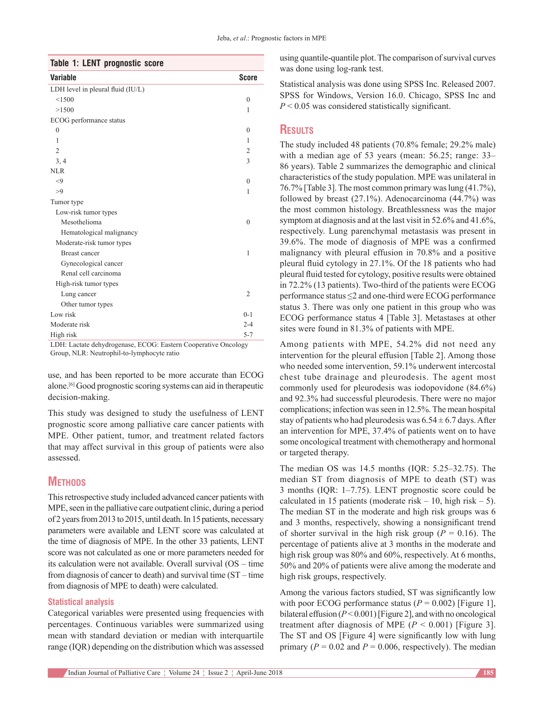| Table 1: LENT prognostic score    |                |
|-----------------------------------|----------------|
| <b>Variable</b>                   | <b>Score</b>   |
| LDH level in pleural fluid (IU/L) |                |
| < 1500                            | $\mathbf{0}$   |
| >1500                             | 1              |
| ECOG performance status           |                |
| $\theta$                          | $\Omega$       |
| 1                                 | 1              |
| $\overline{2}$                    | $\mathfrak{2}$ |
| 3, 4                              | 3              |
| NLR                               |                |
| < 9                               | $\theta$       |
| >9                                | 1              |
| Tumor type                        |                |
| Low-risk tumor types              |                |
| Mesothelioma                      | $\theta$       |
| Hematological malignancy          |                |
| Moderate-risk tumor types         |                |
| <b>Breast cancer</b>              | 1              |
| Gynecological cancer              |                |
| Renal cell carcinoma              |                |
| High-risk tumor types             |                |
| Lung cancer                       | $\overline{2}$ |
| Other tumor types                 |                |
| Low risk                          | $0 - 1$        |
| Moderate risk                     | $2 - 4$        |
| High risk                         | $5 - 7$        |

LDH: Lactate dehydrogenase, ECOG: Eastern Cooperative Oncology Group, NLR: Neutrophil-to-lymphocyte ratio

use, and has been reported to be more accurate than ECOG alone.[6] Good prognostic scoring systems can aid in therapeutic decision-making.

This study was designed to study the usefulness of LENT prognostic score among palliative care cancer patients with MPE. Other patient, tumor, and treatment related factors that may affect survival in this group of patients were also assessed.

# **METHODS**

This retrospective study included advanced cancer patients with MPE, seen in the palliative care outpatient clinic, during a period of 2 years from 2013 to 2015, until death. In 15 patients, necessary parameters were available and LENT score was calculated at the time of diagnosis of MPE. In the other 33 patients, LENT score was not calculated as one or more parameters needed for its calculation were not available. Overall survival (OS – time from diagnosis of cancer to death) and survival time (ST – time from diagnosis of MPE to death) were calculated.

# **Statistical analysis**

Categorical variables were presented using frequencies with percentages. Continuous variables were summarized using mean with standard deviation or median with interquartile range (IQR) depending on the distribution which was assessed using quantile‑quantile plot. The comparison of survival curves was done using log-rank test.

Statistical analysis was done using SPSS Inc. Released 2007. SPSS for Windows, Version 16.0. Chicago, SPSS Inc and *P* < 0.05 was considered statistically significant.

# **Results**

The study included 48 patients (70.8% female; 29.2% male) with a median age of 53 years (mean: 56.25; range: 33– 86 years). Table 2 summarizes the demographic and clinical characteristics of the study population. MPE was unilateral in 76.7% [Table 3]. The most common primary was lung (41.7%), followed by breast (27.1%). Adenocarcinoma (44.7%) was the most common histology. Breathlessness was the major symptom at diagnosis and at the last visit in 52.6% and 41.6%, respectively. Lung parenchymal metastasis was present in 39.6%. The mode of diagnosis of MPE was a confirmed malignancy with pleural effusion in 70.8% and a positive pleural fluid cytology in 27.1%. Of the 18 patients who had pleural fluid tested for cytology, positive results were obtained in 72.2% (13 patients). Two-third of the patients were ECOG performance status ≤2 and one‑third were ECOG performance status 3. There was only one patient in this group who was ECOG performance status 4 [Table 3]. Metastases at other sites were found in 81.3% of patients with MPE.

Among patients with MPE, 54.2% did not need any intervention for the pleural effusion [Table 2]. Among those who needed some intervention, 59.1% underwent intercostal chest tube drainage and pleurodesis. The agent most commonly used for pleurodesis was iodopovidone (84.6%) and 92.3% had successful pleurodesis. There were no major complications; infection was seen in 12.5%. The mean hospital stay of patients who had pleurodesis was  $6.54 \pm 6.7$  days. After an intervention for MPE, 37.4% of patients went on to have some oncological treatment with chemotherapy and hormonal or targeted therapy.

The median OS was 14.5 months (IQR: 5.25–32.75). The median ST from diagnosis of MPE to death (ST) was 3 months (IQR: 1–7.75). LENT prognostic score could be calculated in 15 patients (moderate risk  $-10$ , high risk  $-5$ ). The median ST in the moderate and high risk groups was 6 and 3 months, respectively, showing a nonsignificant trend of shorter survival in the high risk group ( $P = 0.16$ ). The percentage of patients alive at 3 months in the moderate and high risk group was  $80\%$  and  $60\%$ , respectively. At 6 months, 50% and 20% of patients were alive among the moderate and high risk groups, respectively.

Among the various factors studied, ST was significantly low with poor ECOG performance status  $(P = 0.002)$  [Figure 1], bilateral effusion (*P*< 0.001)[Figure 2], and with no oncological treatment after diagnosis of MPE  $(P < 0.001)$  [Figure 3]. The ST and OS [Figure 4] were significantly low with lung primary ( $P = 0.02$  and  $P = 0.006$ , respectively). The median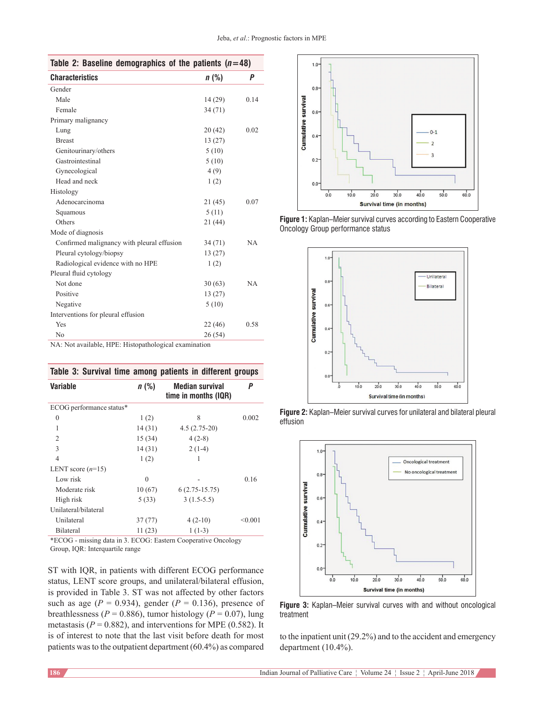| Table 2: Baseline demographics of the patients $(n=48)$                       |         |           |  |
|-------------------------------------------------------------------------------|---------|-----------|--|
| <b>Characteristics</b>                                                        | $n$ (%) | Ρ         |  |
| Gender                                                                        |         |           |  |
| Male                                                                          | 14(29)  | 0.14      |  |
| Female                                                                        | 34 (71) |           |  |
| Primary malignancy                                                            |         |           |  |
| Lung                                                                          | 20(42)  | 0.02      |  |
| <b>Breast</b>                                                                 | 13(27)  |           |  |
| Genitourinary/others                                                          | 5(10)   |           |  |
| Gastrointestinal                                                              | 5(10)   |           |  |
| Gynecological                                                                 | 4(9)    |           |  |
| Head and neck                                                                 | 1(2)    |           |  |
| Histology                                                                     |         |           |  |
| Adenocarcinoma                                                                | 21(45)  | 0.07      |  |
| Squamous                                                                      | 5(11)   |           |  |
| Others                                                                        | 21(44)  |           |  |
| Mode of diagnosis                                                             |         |           |  |
| Confirmed malignancy with pleural effusion                                    | 34(71)  | <b>NA</b> |  |
| Pleural cytology/biopsy                                                       | 13(27)  |           |  |
| Radiological evidence with no HPE                                             | 1(2)    |           |  |
| Pleural fluid cytology                                                        |         |           |  |
| Not done                                                                      | 30(63)  | <b>NA</b> |  |
| Positive                                                                      | 13(27)  |           |  |
| Negative                                                                      | 5(10)   |           |  |
| Interventions for pleural effusion                                            |         |           |  |
| Yes                                                                           | 22(46)  | 0.58      |  |
| N <sub>0</sub><br><b>SEARCH STATE STATE</b><br>and a state of the<br>$\cdots$ | 26 (54) |           |  |

NA: Not available, HPE: Histopathological examination

| Table 3: Survival time among patients in different groups     |          |                                                |         |  |
|---------------------------------------------------------------|----------|------------------------------------------------|---------|--|
| <b>Variable</b>                                               | $n$ (%)  | <b>Median survival</b><br>time in months (IQR) | P       |  |
| ECOG performance status*                                      |          |                                                |         |  |
| $\theta$                                                      | 1(2)     | 8                                              | 0.002   |  |
| $\mathbf{1}$                                                  | 14 (31)  | $4.5(2.75-20)$                                 |         |  |
| $\overline{2}$                                                | 15(34)   | $4(2-8)$                                       |         |  |
| 3                                                             | 14(31)   | $2(1-4)$                                       |         |  |
| $\overline{4}$                                                | 1(2)     | 1                                              |         |  |
| LENT score $(n=15)$                                           |          |                                                |         |  |
| Low risk                                                      | $\theta$ |                                                | 0.16    |  |
| Moderate risk                                                 | 10(67)   | $6(2.75-15.75)$                                |         |  |
| High risk                                                     | 5(33)    | $3(1.5-5.5)$                                   |         |  |
| Unilateral/bilateral                                          |          |                                                |         |  |
| Unilateral                                                    | 37(77)   | $4(2-10)$                                      | < 0.001 |  |
| Bilateral                                                     | 11(23)   | $1(1-3)$                                       |         |  |
| *ECOG - missing data in 3. ECOG: Eastern Cooperative Oncology |          |                                                |         |  |

Group, IQR: Interquartile range

ST with IQR, in patients with different ECOG performance status, LENT score groups, and unilateral/bilateral effusion, is provided in Table 3. ST was not affected by other factors such as age ( $P = 0.934$ ), gender ( $P = 0.136$ ), presence of breathlessness ( $P = 0.886$ ), tumor histology ( $P = 0.07$ ), lung metastasis ( $P = 0.882$ ), and interventions for MPE (0.582). It is of interest to note that the last visit before death for most patients was to the outpatient department(60.4%) as compared







**Figure 2:** Kaplan–Meier survival curves for unilateral and bilateral pleural effusion





to the inpatient unit (29.2%) and to the accident and emergency department (10.4%).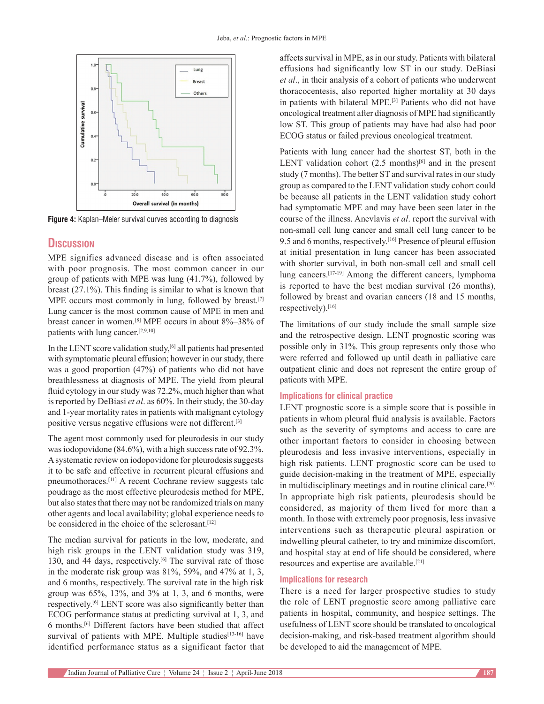

**Figure 4:** Kaplan–Meier survival curves according to diagnosis

# **Discussion**

MPE signifies advanced disease and is often associated with poor prognosis. The most common cancer in our group of patients with MPE was lung (41.7%), followed by breast (27.1%). This finding is similar to what is known that MPE occurs most commonly in lung, followed by breast.<sup>[7]</sup> Lung cancer is the most common cause of MPE in men and breast cancer in women.[8] MPE occurs in about 8%–38% of patients with lung cancer.[2,9,10]

In the LENT score validation study,[6] all patients had presented with symptomatic pleural effusion; however in our study, there was a good proportion (47%) of patients who did not have breathlessness at diagnosis of MPE. The yield from pleural fluid cytology in our study was 72.2%, much higher than what is reported by DeBiasi *et al*. as 60%. In their study, the 30‑day and 1‑year mortality rates in patients with malignant cytology positive versus negative effusions were not different.[3]

The agent most commonly used for pleurodesis in our study was iodopovidone (84.6%), with a high success rate of 92.3%. Asystematic review on iodopovidone for pleurodesis suggests it to be safe and effective in recurrent pleural effusions and pneumothoraces.[11] A recent Cochrane review suggests talc poudrage as the most effective pleurodesis method for MPE, but also states that there may not be randomized trials on many other agents and local availability; global experience needs to be considered in the choice of the sclerosant.<sup>[12]</sup>

The median survival for patients in the low, moderate, and high risk groups in the LENT validation study was 319, 130, and 44 days, respectively.<sup>[6]</sup> The survival rate of those in the moderate risk group was 81%, 59%, and 47% at 1, 3, and 6 months, respectively. The survival rate in the high risk group was  $65\%$ ,  $13\%$ , and  $3\%$  at 1, 3, and 6 months, were respectively.[6] LENT score was also significantly better than ECOG performance status at predicting survival at 1, 3, and 6 months.[6] Different factors have been studied that affect survival of patients with MPE. Multiple studies<sup>[13-16]</sup> have identified performance status as a significant factor that affects survival in MPE, as in our study. Patients with bilateral effusions had significantly low ST in our study. DeBiasi *et al*., in their analysis of a cohort of patients who underwent thoracocentesis, also reported higher mortality at 30 days in patients with bilateral MPE.[3] Patients who did not have oncological treatment after diagnosis of MPE had significantly low ST. This group of patients may have had also had poor ECOG status or failed previous oncological treatment.

Patients with lung cancer had the shortest ST, both in the LENT validation cohort  $(2.5 \text{ months})^{[6]}$  and in the present study (7 months). The better ST and survival rates in our study group as compared to the LENT validation study cohort could be because all patients in the LENT validation study cohort had symptomatic MPE and may have been seen later in the course of the illness. Anevlavis *et al*. report the survival with non‑small cell lung cancer and small cell lung cancer to be 9.5 and 6 months, respectively.[16] Presence of pleural effusion at initial presentation in lung cancer has been associated with shorter survival, in both non-small cell and small cell lung cancers.[17‑19] Among the different cancers, lymphoma is reported to have the best median survival (26 months), followed by breast and ovarian cancers (18 and 15 months, respectively).[16]

The limitations of our study include the small sample size and the retrospective design. LENT prognostic scoring was possible only in 31%. This group represents only those who were referred and followed up until death in palliative care outpatient clinic and does not represent the entire group of patients with MPE.

#### **Implications for clinical practice**

LENT prognostic score is a simple score that is possible in patients in whom pleural fluid analysis is available. Factors such as the severity of symptoms and access to care are other important factors to consider in choosing between pleurodesis and less invasive interventions, especially in high risk patients. LENT prognostic score can be used to guide decision-making in the treatment of MPE, especially in multidisciplinary meetings and in routine clinical care.[20] In appropriate high risk patients, pleurodesis should be considered, as majority of them lived for more than a month. In those with extremely poor prognosis, less invasive interventions such as therapeutic pleural aspiration or indwelling pleural catheter, to try and minimize discomfort, and hospital stay at end of life should be considered, where resources and expertise are available.[21]

#### **Implications for research**

There is a need for larger prospective studies to study the role of LENT prognostic score among palliative care patients in hospital, community, and hospice settings. The usefulness of LENT score should be translated to oncological decision-making, and risk-based treatment algorithm should be developed to aid the management of MPE.